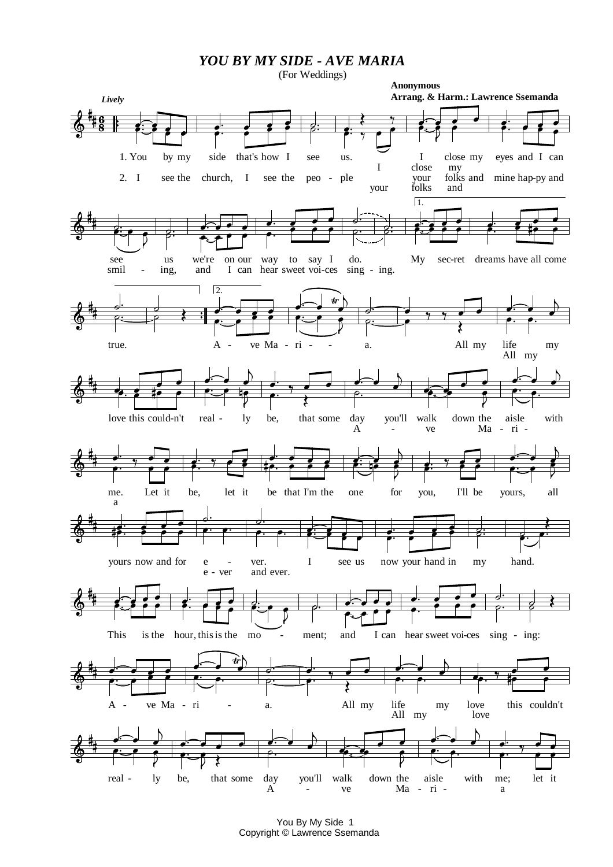*YOU BY MY SIDE - AVE MARIA*

(For Weddings)



Copyright © Lawrence Ssemanda You By My Side 1